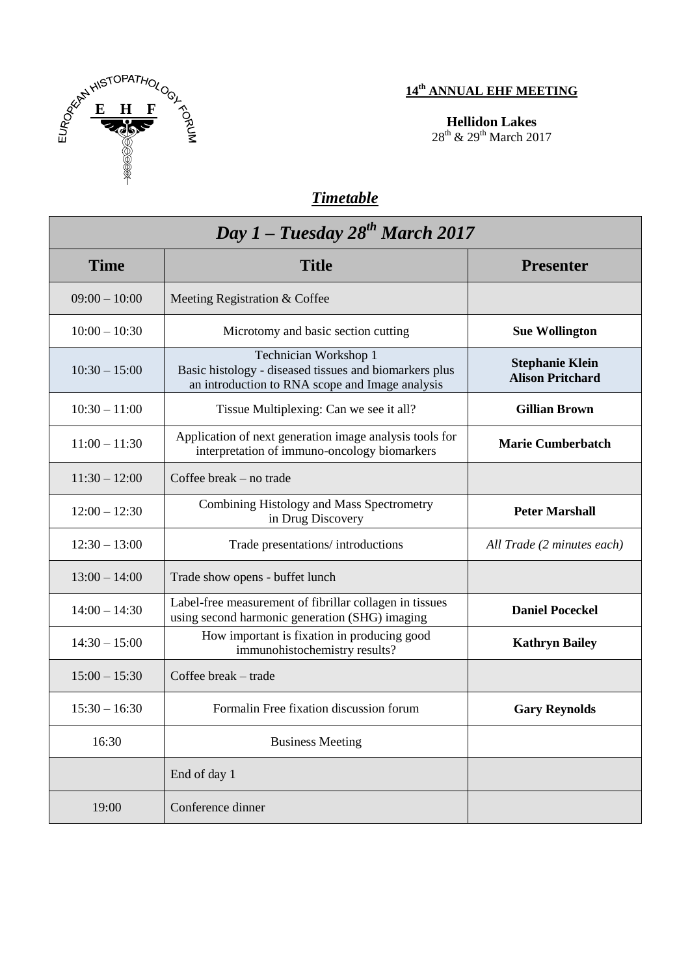

## **14 th ANNUAL EHF MEETING**

**Hellidon Lakes**  28<sup>th</sup> & 29<sup>th</sup> March 2017

## *Timetable*

| Day 1 – Tuesday $28^{th}$ March 2017 |                                                                                                                                    |                                                   |
|--------------------------------------|------------------------------------------------------------------------------------------------------------------------------------|---------------------------------------------------|
| <b>Time</b>                          | <b>Title</b>                                                                                                                       | <b>Presenter</b>                                  |
| $09:00 - 10:00$                      | Meeting Registration & Coffee                                                                                                      |                                                   |
| $10:00 - 10:30$                      | Microtomy and basic section cutting                                                                                                | <b>Sue Wollington</b>                             |
| $10:30 - 15:00$                      | Technician Workshop 1<br>Basic histology - diseased tissues and biomarkers plus<br>an introduction to RNA scope and Image analysis | <b>Stephanie Klein</b><br><b>Alison Pritchard</b> |
| $10:30 - 11:00$                      | Tissue Multiplexing: Can we see it all?                                                                                            | <b>Gillian Brown</b>                              |
| $11:00 - 11:30$                      | Application of next generation image analysis tools for<br>interpretation of immuno-oncology biomarkers                            | <b>Marie Cumberbatch</b>                          |
| $11:30 - 12:00$                      | Coffee break – no trade                                                                                                            |                                                   |
| $12:00 - 12:30$                      | Combining Histology and Mass Spectrometry<br>in Drug Discovery                                                                     | <b>Peter Marshall</b>                             |
| $12:30 - 13:00$                      | Trade presentations/introductions                                                                                                  | All Trade (2 minutes each)                        |
| $13:00 - 14:00$                      | Trade show opens - buffet lunch                                                                                                    |                                                   |
| $14:00 - 14:30$                      | Label-free measurement of fibrillar collagen in tissues<br>using second harmonic generation (SHG) imaging                          | <b>Daniel Poceckel</b>                            |
| $14:30 - 15:00$                      | How important is fixation in producing good<br>immunohistochemistry results?                                                       | <b>Kathryn Bailey</b>                             |
| $15:00 - 15:30$                      | Coffee break - trade                                                                                                               |                                                   |
| $15:30 - 16:30$                      | Formalin Free fixation discussion forum                                                                                            | <b>Gary Reynolds</b>                              |
| 16:30                                | <b>Business Meeting</b>                                                                                                            |                                                   |
|                                      | End of day 1                                                                                                                       |                                                   |
| 19:00                                | Conference dinner                                                                                                                  |                                                   |